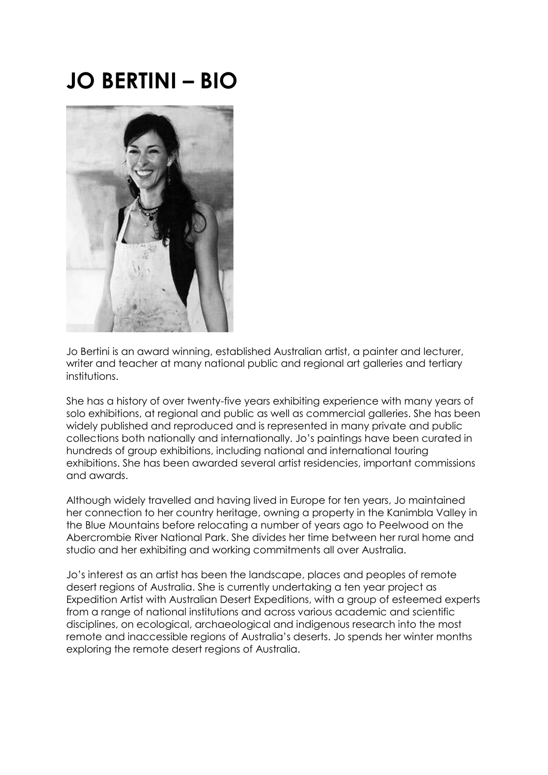# **JO BERTINI – BIO**



Jo Bertini is an award winning, established Australian artist, a painter and lecturer, writer and teacher at many national public and regional art galleries and tertiary institutions.

She has a history of over twenty-five years exhibiting experience with many years of solo exhibitions, at regional and public as well as commercial galleries. She has been widely published and reproduced and is represented in many private and public collections both nationally and internationally. Jo's paintings have been curated in hundreds of group exhibitions, including national and international touring exhibitions. She has been awarded several artist residencies, important commissions and awards.

Although widely travelled and having lived in Europe for ten years, Jo maintained her connection to her country heritage, owning a property in the Kanimbla Valley in the Blue Mountains before relocating a number of years ago to Peelwood on the Abercrombie River National Park. She divides her time between her rural home and studio and her exhibiting and working commitments all over Australia.

Jo's interest as an artist has been the landscape, places and peoples of remote desert regions of Australia. She is currently undertaking a ten year project as Expedition Artist with Australian Desert Expeditions, with a group of esteemed experts from a range of national institutions and across various academic and scientific disciplines, on ecological, archaeological and indigenous research into the most remote and inaccessible regions of Australia's deserts. Jo spends her winter months exploring the remote desert regions of Australia.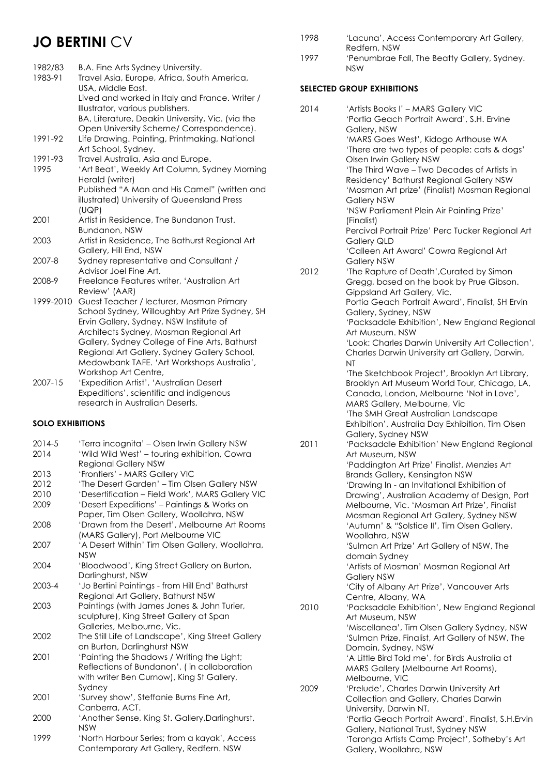# **JO BERTINI CV**

| 1982/83<br>1983-91 | B.A. Fine Arts Sydney University.<br>Travel Asia, Europe, Africa, South America,                                                                                                |
|--------------------|---------------------------------------------------------------------------------------------------------------------------------------------------------------------------------|
|                    | USA, Middle East.<br>Lived and worked in Italy and France. Writer /<br>Illustrator, various publishers.                                                                         |
|                    | BA, Literature, Deakin University, Vic. (via the                                                                                                                                |
| 1991-92            | Open University Scheme/ Correspondence).<br>Life Drawing. Painting, Printmaking, National<br>Art School, Sydney.                                                                |
| 1991-93            | Travel Australia, Asia and Europe.                                                                                                                                              |
| 1995               | 'Art Beat', Weekly Art Column, Sydney Morning<br>Herald (writer)                                                                                                                |
|                    | Published "A Man and His Camel" (written and<br>illustrated) University of Queensland Press                                                                                     |
| 2001               | (UQP)<br>Artist in Residence, The Bundanon Trust.                                                                                                                               |
|                    | Bundanon, NSW                                                                                                                                                                   |
| 2003               | Artist in Residence, The Bathurst Regional Art<br>Gallery, Hill End, NSW                                                                                                        |
| 2007-8             | Sydney representative and Consultant /<br>Advisor Joel Fine Art.                                                                                                                |
| 2008-9             | Freelance Features writer, 'Australian Art<br>Review' (AAR)                                                                                                                     |
| 1999-2010          | Guest Teacher / lecturer, Mosman Primary<br>School Sydney, Willoughby Art Prize Sydney, SH<br>Ervin Gallery, Sydney, NSW Institute of<br>Architects Sydney, Mosman Regional Art |
|                    | Gallery, Sydney College of Fine Arts, Bathurst<br>Regional Art Gallery. Sydney Gallery School,<br>Medowbank TAFE. 'Art Workshops Australia',<br>Workshop Art Centre,            |

2007-15 'Expedition Artist', 'Australian Desert Expeditions', scientific and indigenous research in Australian Deserts.

# **SOLO EXHIBITIONS**

| 2014-5 | 'Terra incognita' - Olsen Irwin Gallery NSW                                             |
|--------|-----------------------------------------------------------------------------------------|
| 2014   | 'Wild Wild West' - touring exhibition, Cowra<br><b>Regional Gallery NSW</b>             |
| 2013   | 'Frontiers' - MARS Gallery VIC                                                          |
| 2012   | 'The Desert Garden' - Tim Olsen Gallery NSW                                             |
| 2010   | 'Desertification - Field Work', MARS Gallery VIC                                        |
| 2009   | 'Desert Expeditions' - Paintings & Works on<br>Paper, Tim Olsen Gallery, Woollahra, NSW |
| 2008   | 'Drawn from the Desert', Melbourne Art Rooms<br>(MARS Gallery), Port Melbourne VIC      |
| 2007   | 'A Desert Within' Tim Olsen Gallery, Woollahra,<br><b>NSW</b>                           |
| 2004   | 'Bloodwood', King Street Gallery on Burton,<br>Darlinghurst, NSW                        |
| 2003-4 | 'Jo Bertini Paintings - from Hill End' Bathurst                                         |
|        | Regional Art Gallery, Bathurst NSW                                                      |
| 2003   | Paintings (with James Jones & John Turier,                                              |
|        | sculpture), King Street Gallery at Span                                                 |
|        | Galleries, Melbourne, Vic.                                                              |
| 2002   | The Still Life of Landscape', King Street Gallery<br>on Burton, Darlinghurst NSW        |
| 2001   | 'Painting the Shadows / Writing the Light;                                              |
|        | Reflections of Bundanon', (in collaboration                                             |
|        | with writer Ben Curnow), King St Gallery,                                               |
|        | Sydney                                                                                  |
| 2001   | 'Survey show', Steffanie Burns Fine Art,                                                |
|        | Canberra, ACT.                                                                          |
| 2000   | 'Another Sense, King St. Gallery, Darlinghurst,                                         |
|        | <b>NSW</b>                                                                              |
| 1999   | 'North Harbour Series; from a kayak', Access<br>Contemporary Art Gallery, Redfern. NSW  |

- 1998 'Lacuna', Access Contemporary Art Gallery, Redfern, NSW
- 1997 'Penumbrae Fall, The Beatty Gallery, Sydney. NSW

# **SELECTED GROUP EXHIBITIONS**

| 2014 | 'Artists Books I' - MARS Gallery VIC                                                      |
|------|-------------------------------------------------------------------------------------------|
|      | 'Portia Geach Portrait Award', S.H. Ervine                                                |
|      | Gallery, NSW<br>'MARS Goes West', Kidogo Arthouse WA                                      |
|      | 'There are two types of people: cats & dogs'                                              |
|      | Olsen Irwin Gallery NSW                                                                   |
|      | 'The Third Wave - Two Decades of Artists in                                               |
|      | Residency' Bathurst Regional Gallery NSW<br>'Mosman Art prize' (Finalist) Mosman Regional |
|      | <b>Gallery NSW</b>                                                                        |
|      | 'NSW Parliament Plein Air Painting Prize'                                                 |
|      | (Finalist)<br>Percival Portrait Prize' Perc Tucker Regional Art                           |
|      | <b>Gallery QLD</b>                                                                        |
|      | 'Calleen Art Award' Cowra Regional Art                                                    |
|      | <b>Gallery NSW</b>                                                                        |
| 2012 | 'The Rapture of Death', Curated by Simon<br>Gregg, based on the book by Prue Gibson.      |
|      | Gippsland Art Gallery, Vic.                                                               |
|      | Portia Geach Portrait Award', Finalist, SH Ervin                                          |
|      | Gallery, Sydney, NSW                                                                      |
|      | 'Packsaddle Exhibition', New England Regional<br>Art Museum, NSW                          |
|      | 'Look: Charles Darwin University Art Collection',                                         |
|      | Charles Darwin University art Gallery, Darwin,                                            |
|      | <b>NT</b><br>'The Sketchbook Project', Brooklyn Art Library,                              |
|      | Brooklyn Art Museum World Tour, Chicago, LA,                                              |
|      | Canada, London, Melbourne 'Not in Love',                                                  |
|      | MARS Gallery, Melbourne, Vic                                                              |
|      | 'The SMH Great Australian Landscape<br>Exhibition', Australia Day Exhibition, Tim Olsen   |
|      | Gallery, Sydney NSW                                                                       |
| 2011 | 'Packsaddle Exhibition' New England Regional                                              |
|      | Art Museum, NSW                                                                           |
|      | 'Paddington Art Prize' Finalist, Menzies Art<br>Brands Gallery, Kensington NSW            |
|      | 'Drawing In - an Invitational Exhibition of                                               |
|      | Drawing', Australian Academy of Design, Port                                              |
|      | Melbourne, Vic. 'Mosman Art Prize', Finalist                                              |
|      | Mosman Regional Art Gallery, Sydney NSW<br>'Autumn' & "Solstice II', Tim Olsen Gallery,   |
|      | Woollahra, NSW                                                                            |
|      | 'Sulman Art Prize' Art Gallery of NSW, The                                                |
|      | domain Sydney<br>'Artists of Mosman' Mosman Regional Art                                  |
|      | <b>Gallery NSW</b>                                                                        |
|      | 'City of Albany Art Prize', Vancouver Arts                                                |
| 2010 | Centre, Albany, WA<br>'Packsaddle Exhibition', New England Regional                       |
|      | Art Museum, NSW                                                                           |
|      | 'Miscellanea', Tim Olsen Gallery Sydney, NSW                                              |
|      | 'Sulman Prize, Finalist, Art Gallery of NSW, The                                          |
|      | Domain, Sydney, NSW<br>'A Little Bird Told me', for Birds Australia at                    |
|      | MARS Gallery (Melbourne Art Rooms),                                                       |
|      | Melbourne, VIC                                                                            |
| 2009 | 'Prelude', Charles Darwin University Art                                                  |
|      | Collection and Gallery, Charles Darwin<br>University, Darwin NT.                          |
|      | 'Portia Geach Portrait Award', Finalist, S.H.Ervin                                        |
|      | Gallery, National Trust, Sydney NSW                                                       |
|      | 'Taronga Artists Camp Project', Sotheby's Art                                             |
|      | Gallery, Woollahra, NSW                                                                   |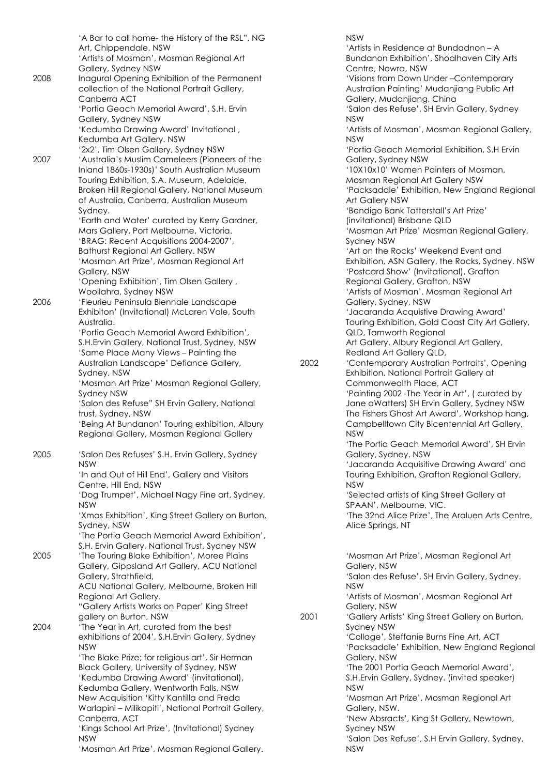'A Bar to call home- the History of the RSL", NG Art, Chippendale, NSW 'Artists of Mosman', Mosman Regional Art Gallery, Sydney NSW 2008 Inagural Opening Exhibition of the Permanent collection of the National Portrait Gallery, Canberra ACT 'Portia Geach Memorial Award', S.H. Ervin Gallery, Sydney NSW 'Kedumba Drawing Award' Invitational , Kedumba Art Gallery. NSW '2x2', Tim Olsen Gallery, Sydney NSW 2007 'Australia's Muslim Cameleers (Pioneers of the Inland 1860s-1930s)' South Australian Museum Touring Exhibition, S.A. Museum, Adelaide, Broken Hill Regional Gallery, National Museum of Australia, Canberra, Australian Museum Sydney. 'Earth and Water' curated by Kerry Gardner, Mars Gallery, Port Melbourne, Victoria. 'BRAG: Recent Acquisitions 2004-2007', Bathurst Regional Art Gallery. NSW 'Mosman Art Prize', Mosman Regional Art Gallery, NSW 'Opening Exhibition', Tim Olsen Gallery , Woollahra, Sydney NSW 2006 'Fleurieu Peninsula Biennale Landscape Exhibiton' (Invitational) McLaren Vale, South Australia. 'Portia Geach Memorial Award Exhibition', S.H.Ervin Gallery, National Trust, Sydney, NSW 'Same Place Many Views – Painting the Australian Landscape' Defiance Gallery, Sydney, NSW 'Mosman Art Prize' Mosman Regional Gallery, Sydney NSW 'Salon des Refuse" SH Ervin Gallery, National trust, Sydney, NSW 'Being At Bundanon' Touring exhibition, Albury Regional Gallery, Mosman Regional Gallery 2005 'Salon Des Refuses' S.H. Ervin Gallery, Sydney NSW 'In and Out of Hill End', Gallery and Visitors Centre, Hill End, NSW 'Dog Trumpet', Michael Nagy Fine art, Sydney, NSW 'Xmas Exhibition', King Street Gallery on Burton, Sydney, NSW 'The Portia Geach Memorial Award Exhibition', S.H. Ervin Gallery, National Trust, Sydney NSW 2005 'The Touring Blake Exhibition', Moree Plains Gallery, Gippsland Art Gallery, ACU National Gallery, Strathfield, ACU National Gallery, Melbourne, Broken Hill Regional Art Gallery. "Gallery Artists Works on Paper' King Street gallery on Burton, NSW 2004 'The Year in Art, curated from the best exhibitions of 2004', S.H.Ervin Gallery, Sydney NSW 'The Blake Prize; for religious art', Sir Herman Black Gallery, University of Sydney, NSW 'Kedumba Drawing Award' (invitational), Kedumba Gallery, Wentworth Falls, NSW New Acquisition 'Kitty Kantilla and Freda Warlapini – Milikapiti', National Portrait Gallery, Canberra, ACT 'Kings School Art Prize', (Invitational) Sydney NSW 'Mosman Art Prize', Mosman Regional Gallery.

NSW 'Artists in Residence at Bundadnon – A Bundanon Exhibition', Shoalhaven City Arts Centre, Nowra, NSW 'Visions from Down Under –Contemporary Australian Painting' Mudanjiang Public Art Gallery, Mudanjiang, China 'Salon des Refuse', SH Ervin Gallery, Sydney NSW 'Artists of Mosman', Mosman Regional Gallery, NSW 'Portia Geach Memorial Exhibition, S.H Ervin Gallery, Sydney NSW '10X10x10' Women Painters of Mosman, Mosman Regional Art Gallery NSW 'Packsaddle' Exhibition, New England Regional Art Gallery NSW 'Bendigo Bank Tatterstall's Art Prize' (invitational) Brisbane QLD 'Mosman Art Prize' Mosman Regional Gallery, Sydney NSW 'Art on the Rocks' Weekend Event and Exhibition, ASN Gallery, the Rocks, Sydney. NSW 'Postcard Show' (Invitational), Grafton Regional Gallery, Grafton, NSW 'Artists of Mosman'. Mosman Regional Art Gallery, Sydney, NSW 'Jacaranda Acquistive Drawing Award' Touring Exhibition, Gold Coast City Art Gallery, QLD, Tamworth Regional Art Gallery, Albury Regional Art Gallery, Redland Art Gallery QLD, 2002 'Contemporary Australian Portraits', Opening Exhibition, National Portrait Gallery at Commonwealth Place, ACT 'Painting 2002 -The Year in Art', ( curated by Jane aWatters) SH Ervin Gallery, Sydney NSW The Fishers Ghost Art Award', Workshop hang, Campbelltown City Bicentennial Art Gallery, NSW 'The Portia Geach Memorial Award', SH Ervin Gallery, Sydney. NSW 'Jacaranda Acquisitive Drawing Award' and Touring Exhibition, Grafton Regional Gallery, NSW 'Selected artists of King Street Gallery at SPAAN', Melbourne, VIC. 'The 32nd Alice Prize', The Araluen Arts Centre, Alice Springs, NT 'Mosman Art Prize', Mosman Regional Art Gallery, NSW 'Salon des Refuse', SH Ervin Gallery, Sydney. NSW 'Artists of Mosman', Mosman Regional Art Gallery, NSW 2001 'Gallery Artists' King Street Gallery on Burton, Sydney NSW 'Collage', Steffanie Burns Fine Art, ACT 'Packsaddle' Exhibition, New England Regional Gallery, NSW 'The 2001 Portia Geach Memorial Award', S.H.Ervin Gallery, Sydney. (invited speaker) NSW 'Mosman Art Prize', Mosman Regional Art Gallery, NSW. 'New Absracts', King St Gallery, Newtown, Sydney NSW

'Salon Des Refuse', S.H Ervin Gallery, Sydney,

NSW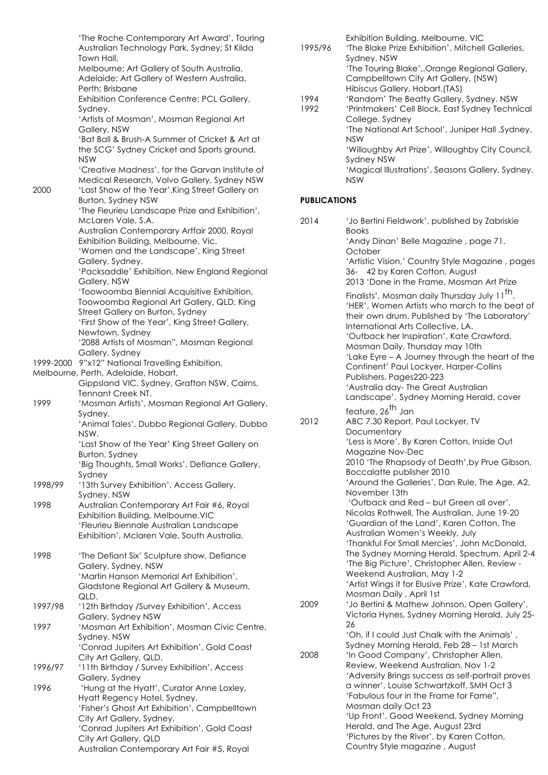|           | 'The Roche Contemporary Art Award', Touring<br>Australian Technology Park, Sydney; St Kilda                    |
|-----------|----------------------------------------------------------------------------------------------------------------|
|           | Town Hall,<br>Melbourne; Art Gallery of South Australia,<br>Adelaide; Art Gallery of Western Australia,        |
|           | Perth; Brisbane<br>Exhibition Conference Centre; PCL Gallery,                                                  |
|           | Sydney.<br>'Artists of Mosman', Mosman Regional Art<br>Gallery, NSW                                            |
|           | 'Bat Ball & Brush-A Summer of Cricket & Art at<br>the SCG' Sydney Cricket and Sports ground,                   |
|           | <b>NSW</b><br>'Creative Madness', for the Garvan Institute of<br>Medical Research, Volvo Gallery, Sydney NSW   |
| 2000      | 'Last Show of the Year'.King Street Gallery on<br>Burton, Sydney NSW                                           |
|           | 'The Fleurieu Landscape Prize and Exhibition',<br>McLaren Vale, S.A.                                           |
|           | Australian Contemporary Artfair 2000, Royal<br>Exhibition Building, Melbourne, Vic.                            |
|           | 'Women and the Landscape', King Street<br>Gallery, Sydney.<br>'Packsaddle' Exhibition, New England Regional    |
|           | Gallery, NSW<br>'Toowoomba Biennial Acquisitive Exhibition,                                                    |
|           | Toowoomba Regional Art Gallery, QLD, King<br>Street Gallery on Burton, Sydney                                  |
|           | 'First Show of the Year', King Street Gallery,<br>Newtown, Sydney<br>'2088 Artists of Mosman", Mosman Regional |
| 1999-2000 | Gallery, Sydney<br>9"x12" National Travelling Exhibition,                                                      |
|           | Melbourne, Perth, Adelaide, Hobart,<br>Gippsland VIC, Sydney, Grafton NSW, Cairns,                             |
| 1999      | Tennant Creek NT.<br>'Mosman Artists', Mosman Regional Art Gallery,<br>Sydney.                                 |
|           | 'Animal Tales', Dubbo Regional Gallery, Dubbo<br>NSW.                                                          |
|           | 'Last Show of the Year' King Street Gallery on<br>Burton, Sydney                                               |
| 1998/99   | 'Big Thoughts, Small Works', Defiance Gallery,<br>Sydney<br>'13th Survey Exhibition', Access Gallery,          |
|           | Sydney. NSW                                                                                                    |
| 1998      | Australian Contemporary Art Fair #6, Royal<br>Exhibition Building, Melbourne.VIC                               |
|           | 'Fleurieu Biennale Australian Landscape<br>Exhibition', Mclaren Vale, South Australia.                         |
| 1998      | 'The Defiant Six' Sculpture show, Defiance<br>Gallery, Sydney, NSW                                             |
|           | 'Martin Hanson Memorial Art Exhibition',<br>Gladstone Regional Art Gallery & Museum,                           |
| 1997/98   | QLD.<br>'12th Birthday /Survey Exhibition', Access<br>Gallery, Sydney NSW                                      |
| 1997      | 'Mosman Art Exhibition', Mosman Civic Centre,<br>Sydney. NSW                                                   |
|           | 'Conrad Jupiters Art Exhibition', Gold Coast<br>City Art Gallery, QLD.                                         |
| 1996/97   | '11th Birthday / Survey Exhibition', Access<br>Gallery, Sydney                                                 |
| 1996      | 'Hung at the Hyatt', Curator Anne Loxley,<br>Hyatt Regency Hotel, Sydney.                                      |
|           | 'Fisher's Ghost Art Exhibition', Campbelltown<br>City Art Gallery, Sydney.                                     |
|           | 'Conrad Jupiters Art Exhibition', Gold Coast                                                                   |
|           | City Art Gallery, QLD<br>Australian Contemporary Art Fair #5, Royal                                            |

| 1995/96             | 'The Blake Prize Exhibition'. Mitchell Galleries,<br>Sydney. NSW<br>'The Touring Blake',.Orange Regional Gallery,<br>Campbelltown City Art Gallery, (NSW) |
|---------------------|-----------------------------------------------------------------------------------------------------------------------------------------------------------|
|                     | Hibiscus Gallery, Hobart.(TAS)                                                                                                                            |
| 1994                | 'Random' The Beatty Gallery, Sydney. NSW                                                                                                                  |
| 1992                | 'Printmakers' Cell Block, East Sydney Technical                                                                                                           |
|                     | College. Sydney<br>'The National Art School', Juniper Hall, Sydney.                                                                                       |
|                     | <b>NSW</b>                                                                                                                                                |
|                     | 'Willoughby Art Prize', Willoughby City Council,<br><b>Sydney NSW</b>                                                                                     |
|                     | 'Magical Illustrations'. Seasons Gallery, Sydney.<br><b>NSW</b>                                                                                           |
| <b>PUBLICATIONS</b> |                                                                                                                                                           |
| 2014                | 'Jo Bertini Fieldwork', published by Zabriskie<br><b>Books</b>                                                                                            |
|                     | 'Andy Dinan' Belle Magazine, page 71.<br>October                                                                                                          |
|                     | 'Artistic Vision,' Country Style Magazine, pages<br>36- 42 by Karen Cotton, August                                                                        |
|                     | 2013 'Done in the Frame, Mosman Art Prize                                                                                                                 |
|                     | Finalists', Mosman daily Thursday July 11 <sup>th</sup> .                                                                                                 |
|                     | 'HER', Women Artists who march to the beat of                                                                                                             |
|                     | their own drum. Published by 'The Laboratory'<br>International Arts Collective, LA.                                                                       |
|                     | 'Outback her Inspiration', Kate Crawford,                                                                                                                 |
|                     | Mosman Daily, Thursday may 10th                                                                                                                           |
|                     | 'Lake Eyre - A Journey through the heart of the                                                                                                           |
|                     | Continent' Paul Lockyer, Harper-Collins                                                                                                                   |
|                     | Publishers. Pages220-223<br>'Australia day- The Great Australian                                                                                          |
|                     | Landscape', Sydney Morning Herald, cover                                                                                                                  |
|                     | feature, 26 <sup>th</sup> Jan                                                                                                                             |
| 2012                | ABC 7.30 Report, Paul Lockyer, TV                                                                                                                         |
|                     | Documentary                                                                                                                                               |
|                     | 'Less is More', By Karen Cotton, Inside Out                                                                                                               |
|                     | Magazine Nov-Dec<br>2010 'The Rhapsody of Death', by Prue Gibson,                                                                                         |
|                     | Boccalatte publisher 2010                                                                                                                                 |
|                     | 'Around the Galleries', Dan Rule, The Age, A2,                                                                                                            |
|                     | November 13th                                                                                                                                             |
|                     | 'Outback and Red - but Green all over',                                                                                                                   |
|                     | Nicolas Rothwell, The Australian, June 19-20<br>'Guardian of the Land', Karen Cotton, The                                                                 |
|                     | Australian Women's Weekly, July                                                                                                                           |
|                     | 'Thankful For Small Mercies', John McDonald,                                                                                                              |
|                     | The Sydney Morning Herald, Spectrum, April 2-4                                                                                                            |
|                     | 'The Big Picture', Christopher Allen, Review -<br>Weekend Australian, May 1-2                                                                             |
|                     | 'Artist Wings it for Elusive Prize', Kate Crawford,                                                                                                       |
|                     | Mosman Daily, April 1st                                                                                                                                   |
| 2009                | 'Jo Bertini & Mathew Johnson, Open Gallery',                                                                                                              |
|                     | Victoria Hynes, Sydney Morning Herald, July 25-                                                                                                           |
|                     | 26                                                                                                                                                        |
|                     | 'Oh, if I could Just Chalk with the Animals',<br>Sydney Morning Herald, Feb 28 - 1st March                                                                |
| 2008                | 'In Good Company', Christopher Allen,                                                                                                                     |
|                     | Review, Weekend Australian, Nov 1-2                                                                                                                       |
|                     | 'Adversity Brings success as self-portrait proves                                                                                                         |
|                     | a winner', Louise Schwartzkoff, SMH Oct 3                                                                                                                 |
|                     | 'Fabulous four in the Frame for Fame",                                                                                                                    |

Mosman daily Oct 23

'Up Front', Good Weekend, Sydney Morning

Herald, and The Age, August 23rd 'Pictures by the River', by Karen Cotton, Country Style magazine , August

Exhibition Building, Melbourne. VIC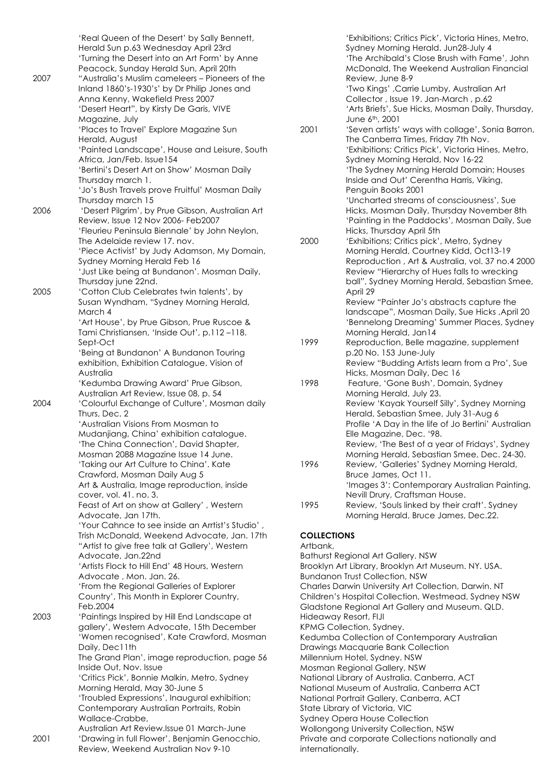|      | 'Real Queen of the Desert' by Sally Bennett,                                       |
|------|------------------------------------------------------------------------------------|
|      | Herald Sun p.63 Wednesday April 23rd                                               |
|      | 'Turning the Desert into an Art Form' by Anne                                      |
|      | Peacock, Sunday Herald Sun, April 20th                                             |
| 2007 | "Australia's Muslim cameleers – Pioneers of the                                    |
|      | Inland 1860's-1930's' by Dr Philip Jones and                                       |
|      | Anna Kenny, Wakefield Press 2007                                                   |
|      | 'Desert Heart", by Kirsty De Garis, VIVE<br>Magazine, July                         |
|      | 'Places to Travel' Explore Magazine Sun                                            |
|      | Herald, August                                                                     |
|      | 'Painted Landscape', House and Leisure, South                                      |
|      | Africa, Jan/Feb. Issue154                                                          |
|      | 'Bertini's Desert Art on Show' Mosman Daily                                        |
|      | Thursday march 1.                                                                  |
|      | 'Jo's Bush Travels prove Fruitful' Mosman Daily                                    |
|      | Thursday march 15                                                                  |
| 2006 | 'Desert Pilgrim', by Prue Gibson, Australian Art                                   |
|      | Review, Issue 12 Nov 2006- Feb2007                                                 |
|      | 'Fleurieu Peninsula Biennale' by John Neylon,                                      |
|      | The Adelaide review 17. nov.                                                       |
|      | 'Piece Activist' by Judy Adamson, My Domain,                                       |
|      | Sydney Morning Herald Feb 16                                                       |
|      | 'Just Like being at Bundanon'. Mosman Daily,                                       |
| 2005 | Thursday june 22nd.<br>'Cotton Club Celebrates twin talents', by                   |
|      | Susan Wyndham, "Sydney Morning Herald,                                             |
|      | March 4                                                                            |
|      | 'Art House', by Prue Gibson, Prue Ruscoe &                                         |
|      | Tami Christiansen, 'Inside Out', p.112-118.                                        |
|      | Sept-Oct                                                                           |
|      | 'Being at Bundanon' A Bundanon Touring                                             |
|      | exhibition, Exhibition Catalogue. Vision of                                        |
|      | Australia                                                                          |
|      | 'Kedumba Drawing Award' Prue Gibson,                                               |
|      | Australian Art Review, Issue 08, p. 54                                             |
| 2004 | 'Colourful Exchange of Culture', Mosman daily                                      |
|      | Thurs, Dec. 2                                                                      |
|      | 'Australian Visions From Mosman to                                                 |
|      | Mudanjiang, China' exhibition catalogue.<br>'The China Connection', David Shapter, |
|      | Mosman 2088 Magazine Issue 14 June.                                                |
|      | 'Taking our Art Culture to China'. Kate                                            |
|      | Crawford, Mosman Daily Aug 5                                                       |
|      | Art & Australia, Image reproduction, inside                                        |
|      | cover, vol. 41. no. 3.                                                             |
|      | Feast of Art on show at Gallery', Western                                          |
|      | Advocate, Jan 17th.                                                                |
|      | 'Your Cahnce to see inside an Arrtist's Studio',                                   |
|      | Trish McDonald, Weekend Advocate, Jan. 17th                                        |
|      | "Artist to give free talk at Gallery', Western                                     |
|      | Advocate, Jan.22nd<br>'Artists Flock to Hill End' 48 Hours, Western                |
|      | Advocate, Mon. Jan. 26.                                                            |
|      | 'From the Regional Galleries of Explorer                                           |
|      | Country', This Month in Explorer Country,                                          |
|      | Feb.2004                                                                           |
| 2003 | 'Paintings Inspired by Hill End Landscape at                                       |
|      | gallery', Western Advocate, 15th December                                          |
|      | 'Women recognised', Kate Crawford, Mosman                                          |
|      | Daily, Dec11th                                                                     |
|      | The Grand Plan', image reproduction, page 56                                       |
|      | Inside Out, Nov. Issue                                                             |
|      | 'Critics Pick', Bonnie Malkin, Metro, Sydney                                       |
|      | Morning Herald, May 30-June 5                                                      |
|      | 'Troubled Expressions', Inaugural exhibition;                                      |
|      | Contemporary Australian Portraits, Robin                                           |
|      | Wallace-Crabbe,<br>Australian Art Review.Issue 01 March-June                       |
| 2001 | 'Drawing in full Flower', Benjamin Genocchio,                                      |
|      |                                                                                    |

|      | Sydney Morning Herald. Jun28-July 4                                                      |
|------|------------------------------------------------------------------------------------------|
|      | 'The Archibald's Close Brush with Fame', John                                            |
|      | McDonald, The Weekend Australian Financial                                               |
|      | Review, June 8-9                                                                         |
|      | 'Two Kings', Carrie Lumby, Australian Art                                                |
|      | Collector, Issue 19. Jan-March, p.62                                                     |
|      | 'Arts Briefs', Sue Hicks, Mosman Daily, Thursday,                                        |
|      | June 6 <sup>th</sup> , 2001                                                              |
| 2001 | 'Seven artists' ways with collage', Sonia Barron,<br>The Canberra Times, Friday 7th Nov. |
|      | 'Exhibitions; Critics Pick', Victoria Hines, Metro,                                      |
|      | Sydney Morning Herald, Nov 16-22                                                         |
|      | 'The Sydney Morning Herald Domain; Houses                                                |
|      | Inside and Out' Cerentha Harris, Viking,                                                 |
|      | Penguin Books 2001                                                                       |
|      | 'Uncharted streams of consciousness', Sue                                                |
|      | Hicks, Mosman Daily, Thursday November 8th                                               |
|      | 'Painting in the Paddocks', Mosman Daily, Sue                                            |
|      | Hicks, Thursday April 5th                                                                |
| 2000 | 'Exhibitions; Critics pick', Metro, Sydney                                               |
|      | Morning Herald, Courtney Kidd, Oct13-19                                                  |
|      | Reproduction, Art & Australia, vol. 37 no.4 2000                                         |
|      | Review "Hierarchy of Hues falls to wrecking                                              |
|      | ball", Sydney Morning Herald, Sebastian Smee,                                            |
|      | April 29                                                                                 |
|      | Review "Painter Jo's abstracts capture the                                               |
|      | Iandscape", Mosman Daily, Sue Hicks , April 20                                           |
|      | 'Bennelong Dreaming' Summer Places, Sydney                                               |
|      | Morning Herald, Jan14                                                                    |
| 1999 | Reproduction, Belle magazine, supplement                                                 |
|      | p.20 No. 153 June-July                                                                   |
|      | Review "Budding Artists learn from a Pro', Sue                                           |
|      | Hicks, Mosman Daily, Dec 16                                                              |
| 1998 | Feature, 'Gone Bush', Domain, Sydney                                                     |
|      | Morning Herald, July 23.                                                                 |
|      | Review 'Kayak Yourself Silly', Sydney Morning                                            |
|      | Herald, Sebastian Smee, July 31-Aug 6                                                    |
|      | Profile 'A Day in the life of Jo Bertini' Australian                                     |
|      | Elle Magazine, Dec. '98.                                                                 |
|      | Review, 'The Best of a year of Fridays', Sydney                                          |
|      | Morning Herald, Sebastian Smee, Dec. 24-30.                                              |
| 1996 | Review, 'Galleries' Sydney Morning Herald,                                               |
|      | Bruce James, Oct 11.                                                                     |
|      | 'Images 3': Contemporary Australian Painting,                                            |
|      | Nevill Drury, Craftsman House.                                                           |
| 1995 | Review, 'Souls linked by their craft'. Sydney                                            |
|      | Morning Herald, Bruce James, Dec.22.                                                     |
|      |                                                                                          |

'Exhibitions; Critics Pick', Victoria Hines, Metro,

### **COLLECTIONS**

#### Artbank,

Bathurst Regional Art Gallery. NSW Brooklyn Art Library, Brooklyn Art Museum. NY. USA. Bundanon Trust Collection, NSW Charles Darwin University Art Collection, Darwin. NT Children's Hospital Collection, Westmead, Sydney NSW Gladstone Regional Art Gallery and Museum. QLD. Hideaway Resort, FIJI KPMG Collection, Sydney. Kedumba Collection of Contemporary Australian Drawings Macquarie Bank Collection Millennium Hotel, Sydney. NSW Mosman Regional Gallery, NSW National Library of Australia. Canberra, ACT National Museum of Australia, Canberra ACT National Portrait Gallery, Canberra, ACT State Library of Victoria, VIC Sydney Opera House Collection Wollongong University Collection, NSW Private and corporate Collections nationally and internationally.